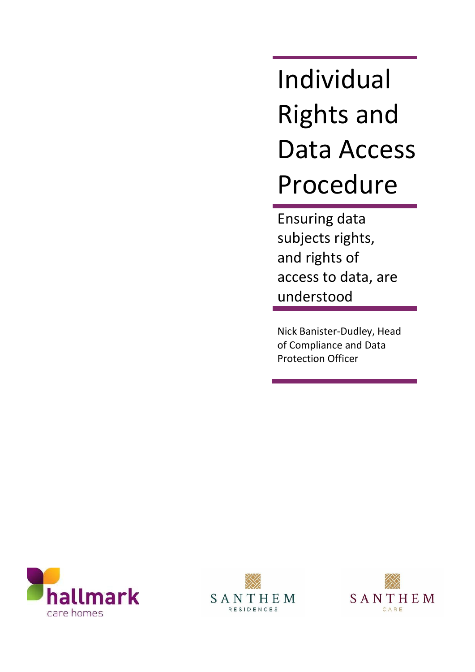Individual Rights and Data Access Procedure

Ensuring data subjects rights, and rights of access to data, are understood

Nick Banister-Dudley, Head of Compliance and Data Protection Officer





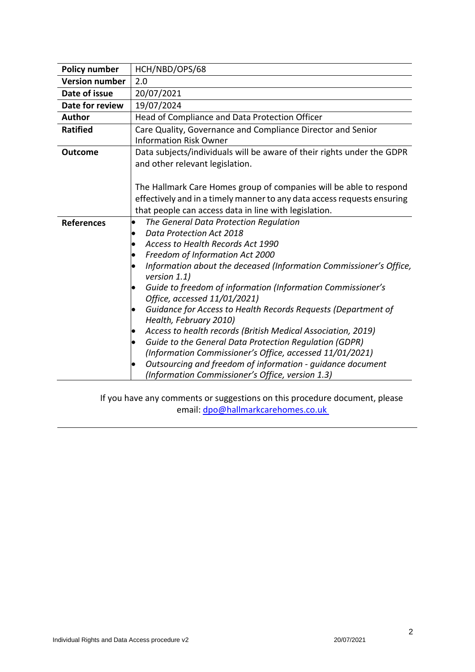| <b>Policy number</b>  | HCH/NBD/OPS/68                                                                                     |  |  |  |  |
|-----------------------|----------------------------------------------------------------------------------------------------|--|--|--|--|
| <b>Version number</b> | 2.0                                                                                                |  |  |  |  |
| Date of issue         | 20/07/2021                                                                                         |  |  |  |  |
| Date for review       | 19/07/2024                                                                                         |  |  |  |  |
| <b>Author</b>         | Head of Compliance and Data Protection Officer                                                     |  |  |  |  |
| <b>Ratified</b>       | Care Quality, Governance and Compliance Director and Senior                                        |  |  |  |  |
|                       | <b>Information Risk Owner</b>                                                                      |  |  |  |  |
| <b>Outcome</b>        | Data subjects/individuals will be aware of their rights under the GDPR                             |  |  |  |  |
|                       | and other relevant legislation.                                                                    |  |  |  |  |
|                       |                                                                                                    |  |  |  |  |
|                       | The Hallmark Care Homes group of companies will be able to respond                                 |  |  |  |  |
|                       | effectively and in a timely manner to any data access requests ensuring                            |  |  |  |  |
|                       | that people can access data in line with legislation.                                              |  |  |  |  |
| <b>References</b>     | The General Data Protection Regulation<br>$\bullet$                                                |  |  |  |  |
|                       | Data Protection Act 2018<br>$\bullet$                                                              |  |  |  |  |
|                       | Access to Health Records Act 1990<br>$\bullet$                                                     |  |  |  |  |
|                       | Freedom of Information Act 2000<br>$\bullet$                                                       |  |  |  |  |
|                       | Information about the deceased (Information Commissioner's Office,<br>$\bullet$<br>version $1.1$ ) |  |  |  |  |
|                       | Guide to freedom of information (Information Commissioner's                                        |  |  |  |  |
|                       | Office, accessed 11/01/2021)                                                                       |  |  |  |  |
|                       | Guidance for Access to Health Records Requests (Department of<br>$\bullet$                         |  |  |  |  |
|                       | Health, February 2010)                                                                             |  |  |  |  |
|                       | Access to health records (British Medical Association, 2019)                                       |  |  |  |  |
|                       | Guide to the General Data Protection Regulation (GDPR)<br>$\bullet$                                |  |  |  |  |
|                       | (Information Commissioner's Office, accessed 11/01/2021)                                           |  |  |  |  |
|                       | Outsourcing and freedom of information - guidance document<br>$\bullet$                            |  |  |  |  |
|                       | (Information Commissioner's Office, version 1.3)                                                   |  |  |  |  |

If you have any comments or suggestions on this procedure document, please email: [dpo@hallmarkcarehomes.co.uk](mailto:dpo@hallmarkcarehomes.co.uk)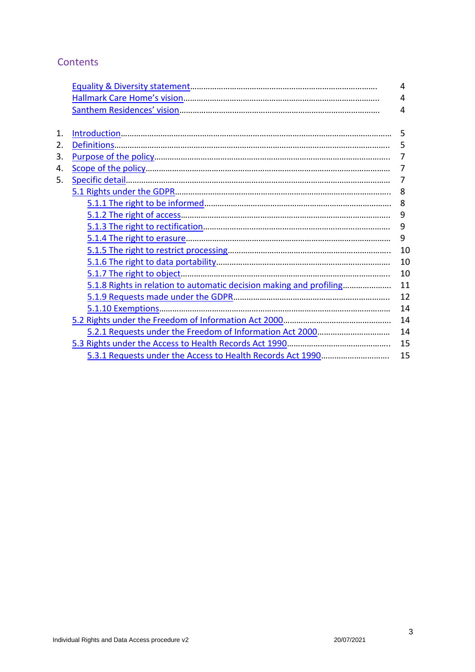# **Contents**

|    |                                                                     | 4  |
|----|---------------------------------------------------------------------|----|
|    |                                                                     | 4  |
|    |                                                                     | 4  |
|    |                                                                     |    |
| 1. |                                                                     | 5  |
| 2. |                                                                     | 5  |
| 3. |                                                                     | 7  |
| 4. |                                                                     | 7  |
| 5. |                                                                     | 7  |
|    |                                                                     | 8  |
|    |                                                                     | 8  |
|    |                                                                     | 9  |
|    |                                                                     | 9  |
|    |                                                                     | 9  |
|    |                                                                     | 10 |
|    |                                                                     | 10 |
|    |                                                                     | 10 |
|    | 5.1.8 Rights in relation to automatic decision making and profiling | 11 |
|    |                                                                     | 12 |
|    |                                                                     | 14 |
|    |                                                                     | 14 |
|    |                                                                     | 14 |
|    |                                                                     | 15 |
|    |                                                                     | 15 |
|    |                                                                     |    |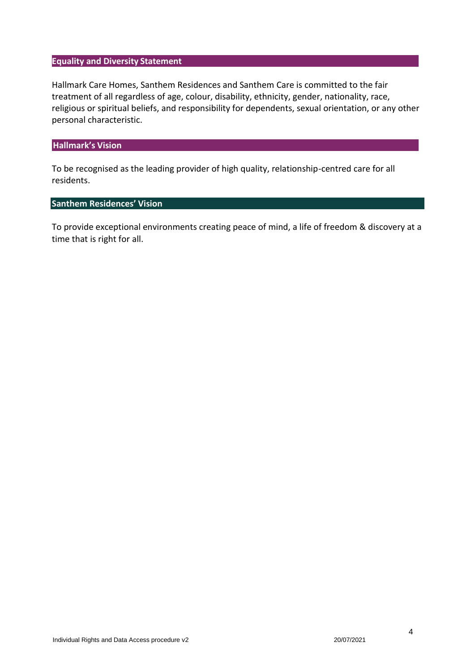#### <span id="page-3-0"></span>**Equality and Diversity Statement**

Hallmark Care Homes, Santhem Residences and Santhem Care is committed to the fair treatment of all regardless of age, colour, disability, ethnicity, gender, nationality, race, religious or spiritual beliefs, and responsibility for dependents, sexual orientation, or any other personal characteristic.

#### <span id="page-3-1"></span>**Hallmark's Vision**

To be recognised as the leading provider of high quality, relationship-centred care for all residents.

### <span id="page-3-2"></span>**Santhem Residences' Vision**

To provide exceptional environments creating peace of mind, a life of freedom & discovery at a time that is right for all.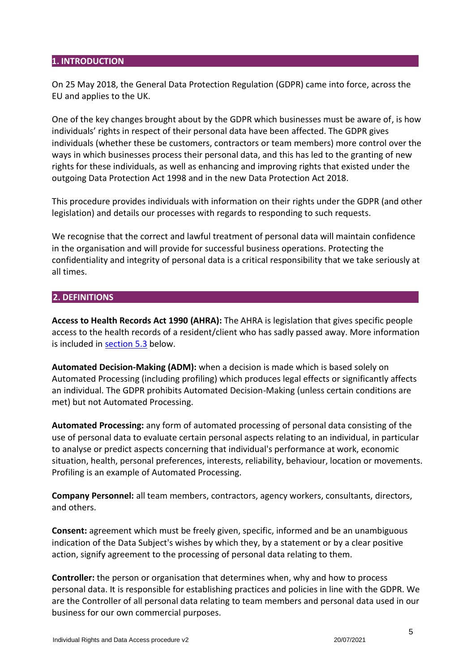### **1. INTRODUCTION**

On 25 May 2018, the General Data Protection Regulation (GDPR) came into force, across the EU and applies to the UK.

One of the key changes brought about by the GDPR which businesses must be aware of, is how individuals' rights in respect of their personal data have been affected. The GDPR gives individuals (whether these be customers, contractors or team members) more control over the ways in which businesses process their personal data, and this has led to the granting of new rights for these individuals, as well as enhancing and improving rights that existed under the outgoing Data Protection Act 1998 and in the new Data Protection Act 2018.

This procedure provides individuals with information on their rights under the GDPR (and other legislation) and details our processes with regards to responding to such requests.

We recognise that the correct and lawful treatment of personal data will maintain confidence in the organisation and will provide for successful business operations. Protecting the confidentiality and integrity of personal data is a critical responsibility that we take seriously at all times.

### <span id="page-4-0"></span>**2. DEFINITIONS**

**Access to Health Records Act 1990 (AHRA):** The AHRA is legislation that gives specific people access to the health records of a resident/client who has sadly passed away. More information is included in [section 5.3](#page-14-0) below.

**Automated Decision-Making (ADM):** when a decision is made which is based solely on Automated Processing (including profiling) which produces legal effects or significantly affects an individual. The GDPR prohibits Automated Decision-Making (unless certain conditions are met) but not Automated Processing.

**Automated Processing:** any form of automated processing of personal data consisting of the use of personal data to evaluate certain personal aspects relating to an individual, in particular to analyse or predict aspects concerning that individual's performance at work, economic situation, health, personal preferences, interests, reliability, behaviour, location or movements. Profiling is an example of Automated Processing.

**Company Personnel:** all team members, contractors, agency workers, consultants, directors, and others.

**Consent:** agreement which must be freely given, specific, informed and be an unambiguous indication of the Data Subject's wishes by which they, by a statement or by a clear positive action, signify agreement to the processing of personal data relating to them.

**Controller:** the person or organisation that determines when, why and how to process personal data. It is responsible for establishing practices and policies in line with the GDPR. We are the Controller of all personal data relating to team members and personal data used in our business for our own commercial purposes.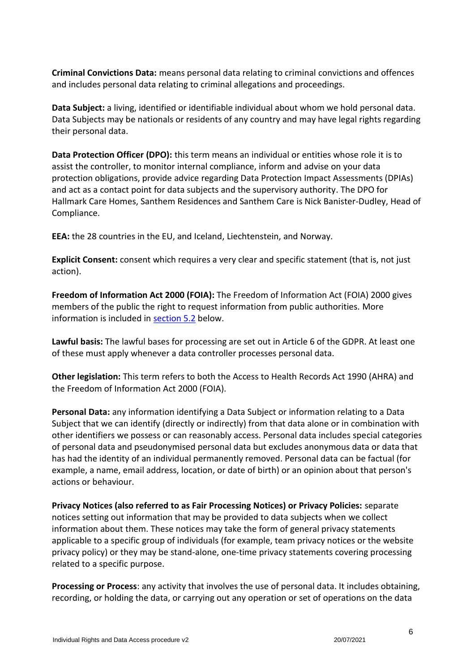**Criminal Convictions Data:** means personal data relating to criminal convictions and offences and includes personal data relating to criminal allegations and proceedings.

**Data Subject:** a living, identified or identifiable individual about whom we hold personal data. Data Subjects may be nationals or residents of any country and may have legal rights regarding their personal data.

**Data Protection Officer (DPO):** this term means an individual or entities whose role it is to assist the controller, to monitor internal compliance, inform and advise on your data protection obligations, provide advice regarding Data Protection Impact Assessments (DPIAs) and act as a contact point for data subjects and the supervisory authority. The DPO for Hallmark Care Homes, Santhem Residences and Santhem Care is Nick Banister-Dudley, Head of Compliance.

**EEA:** the 28 countries in the EU, and Iceland, Liechtenstein, and Norway.

**Explicit Consent:** consent which requires a very clear and specific statement (that is, not just action).

**Freedom of Information Act 2000 (FOIA):** The Freedom of Information Act (FOIA) 2000 gives members of the public the right to request information from public authorities. More information is included in [section 5.2](#page-13-1) below.

**Lawful basis:** The lawful bases for processing are set out in Article 6 of the GDPR. At least one of these must apply whenever a data controller processes personal data.

**Other legislation:** This term refers to both the Access to Health Records Act 1990 (AHRA) and the Freedom of Information Act 2000 (FOIA).

**Personal Data:** any information identifying a Data Subject or information relating to a Data Subject that we can identify (directly or indirectly) from that data alone or in combination with other identifiers we possess or can reasonably access. Personal data includes special categories of personal data and pseudonymised personal data but excludes anonymous data or data that has had the identity of an individual permanently removed. Personal data can be factual (for example, a name, email address, location, or date of birth) or an opinion about that person's actions or behaviour.

**Privacy Notices (also referred to as Fair Processing Notices) or Privacy Policies:** separate notices setting out information that may be provided to data subjects when we collect information about them. These notices may take the form of general privacy statements applicable to a specific group of individuals (for example, team privacy notices or the website privacy policy) or they may be stand-alone, one-time privacy statements covering processing related to a specific purpose.

**Processing or Process**: any activity that involves the use of personal data. It includes obtaining, recording, or holding the data, or carrying out any operation or set of operations on the data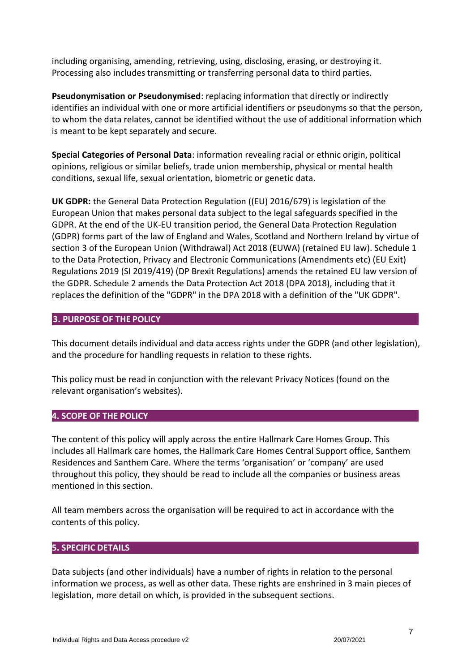including organising, amending, retrieving, using, disclosing, erasing, or destroying it. Processing also includes transmitting or transferring personal data to third parties.

**Pseudonymisation or Pseudonymised**: replacing information that directly or indirectly identifies an individual with one or more artificial identifiers or pseudonyms so that the person, to whom the data relates, cannot be identified without the use of additional information which is meant to be kept separately and secure.

**Special Categories of Personal Data**: information revealing racial or ethnic origin, political opinions, religious or similar beliefs, trade union membership, physical or mental health conditions, sexual life, sexual orientation, biometric or genetic data.

**UK GDPR:** the General Data Protection Regulation ((EU) 2016/679) is legislation of the European Union that makes personal data subject to the legal safeguards specified in the GDPR. At the end of the UK-EU transition period, the General Data Protection Regulation (GDPR) forms part of the law of England and Wales, Scotland and Northern Ireland by virtue of section 3 of the European Union (Withdrawal) Act 2018 (EUWA) (retained EU law). Schedule 1 to the Data Protection, Privacy and Electronic Communications (Amendments etc) (EU Exit) Regulations 2019 (SI 2019/419) (DP Brexit Regulations) amends the retained EU law version of the GDPR. Schedule 2 amends the Data Protection Act 2018 (DPA 2018), including that it replaces the definition of the "GDPR" in the DPA 2018 with a definition of the "UK GDPR".

## <span id="page-6-0"></span>**3. PURPOSE OF THE POLICY**

This document details individual and data access rights under the GDPR (and other legislation), and the procedure for handling requests in relation to these rights.

This policy must be read in conjunction with the relevant Privacy Notices (found on the relevant organisation's websites).

### <span id="page-6-1"></span>**4. SCOPE OF THE POLICY**

The content of this policy will apply across the entire Hallmark Care Homes Group. This includes all Hallmark care homes, the Hallmark Care Homes Central Support office, Santhem Residences and Santhem Care. Where the terms 'organisation' or 'company' are used throughout this policy, they should be read to include all the companies or business areas mentioned in this section.

All team members across the organisation will be required to act in accordance with the contents of this policy.

### <span id="page-6-2"></span>**5. SPECIFIC DETAILS**

Data subjects (and other individuals) have a number of rights in relation to the personal information we process, as well as other data. These rights are enshrined in 3 main pieces of legislation, more detail on which, is provided in the subsequent sections.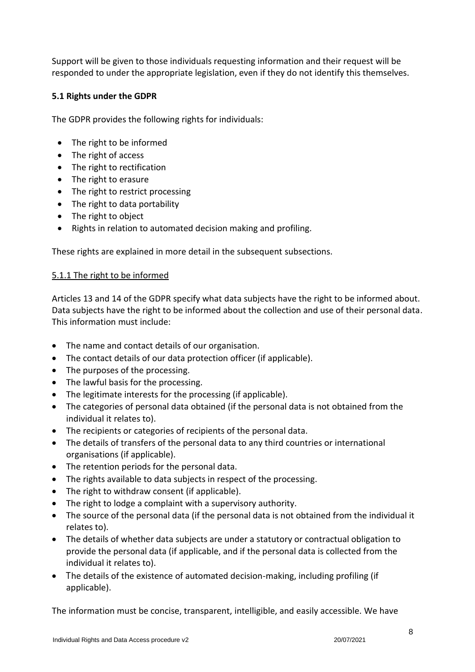Support will be given to those individuals requesting information and their request will be responded to under the appropriate legislation, even if they do not identify this themselves.

## <span id="page-7-0"></span>**5.1 Rights under the GDPR**

The GDPR provides the following rights for individuals:

- The right to be informed
- The right of access
- The right to rectification
- The right to erasure
- The right to restrict processing
- The right to data portability
- The right to object
- Rights in relation to automated decision making and profiling.

These rights are explained in more detail in the subsequent subsections.

## <span id="page-7-1"></span>5.1.1 The right to be informed

Articles 13 and 14 of the GDPR specify what data subjects have the right to be informed about. Data subjects have the right to be informed about the collection and use of their personal data. This information must include:

- The name and contact details of our organisation.
- The contact details of our data protection officer (if applicable).
- The purposes of the processing.
- The lawful basis for the processing.
- The legitimate interests for the processing (if applicable).
- The categories of personal data obtained (if the personal data is not obtained from the individual it relates to).
- The recipients or categories of recipients of the personal data.
- The details of transfers of the personal data to any third countries or international organisations (if applicable).
- The retention periods for the personal data.
- The rights available to data subjects in respect of the processing.
- The right to withdraw consent (if applicable).
- The right to lodge a complaint with a supervisory authority.
- The source of the personal data (if the personal data is not obtained from the individual it relates to).
- The details of whether data subjects are under a statutory or contractual obligation to provide the personal data (if applicable, and if the personal data is collected from the individual it relates to).
- The details of the existence of automated decision-making, including profiling (if applicable).

The information must be concise, transparent, intelligible, and easily accessible. We have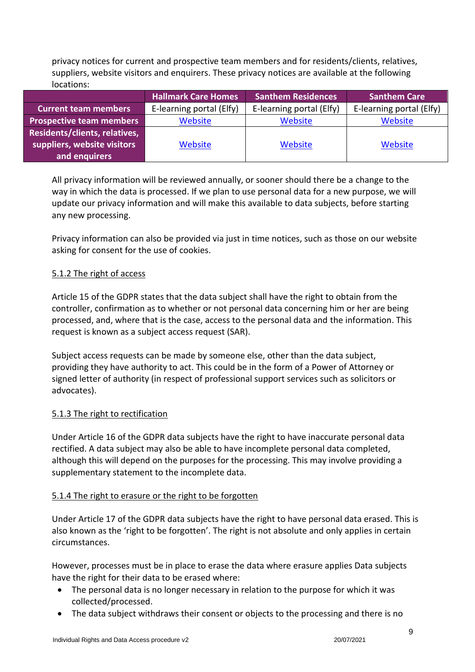privacy notices for current and prospective team members and for residents/clients, relatives, suppliers, website visitors and enquirers. These privacy notices are available at the following locations:

|                                 | <b>Hallmark Care Homes</b> | <b>Santhem Residences</b> | <b>Santhem Care</b>      |
|---------------------------------|----------------------------|---------------------------|--------------------------|
| <b>Current team members</b>     | E-learning portal (Elfy)   | E-learning portal (Elfy)  | E-learning portal (Elfy) |
| <b>Prospective team members</b> | Website                    | Website                   | Website                  |
| Residents/clients, relatives,   |                            |                           |                          |
| suppliers, website visitors     | Website                    | Website                   | Website                  |
| and enquirers                   |                            |                           |                          |

All privacy information will be reviewed annually, or sooner should there be a change to the way in which the data is processed. If we plan to use personal data for a new purpose, we will update our privacy information and will make this available to data subjects, before starting any new processing.

Privacy information can also be provided via just in time notices, such as those on our website asking for consent for the use of cookies.

### <span id="page-8-0"></span>5.1.2 The right of access

Article 15 of the GDPR states that the data subject shall have the right to obtain from the controller, confirmation as to whether or not personal data concerning him or her are being processed, and, where that is the case, access to the personal data and the information. This request is known as a subject access request (SAR).

Subject access requests can be made by someone else, other than the data subject, providing they have authority to act. This could be in the form of a Power of Attorney or signed letter of authority (in respect of professional support services such as solicitors or advocates).

### <span id="page-8-1"></span>5.1.3 The right to rectification

Under Article 16 of the GDPR data subjects have the right to have inaccurate personal data rectified. A data subject may also be able to have incomplete personal data completed, although this will depend on the purposes for the processing. This may involve providing a supplementary statement to the incomplete data.

### <span id="page-8-2"></span>5.1.4 The right to erasure or the right to be forgotten

Under Article 17 of the GDPR data subjects have the right to have personal data erased. This is also known as the 'right to be forgotten'. The right is not absolute and only applies in certain circumstances.

However, processes must be in place to erase the data where erasure applies Data subjects have the right for their data to be erased where:

- The personal data is no longer necessary in relation to the purpose for which it was collected/processed.
- The data subject withdraws their consent or objects to the processing and there is no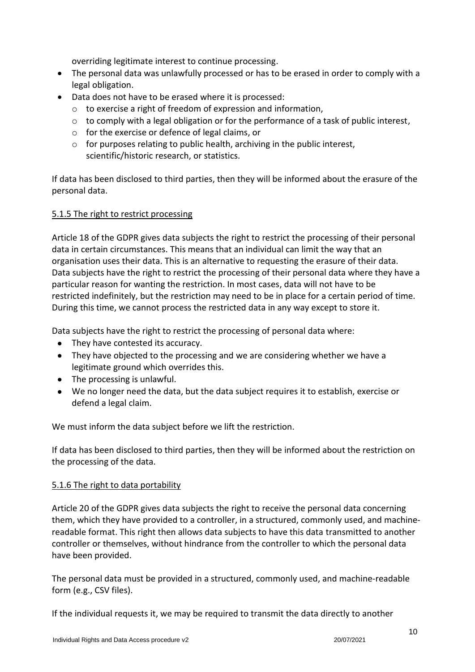overriding legitimate interest to continue processing.

- The personal data was unlawfully processed or has to be erased in order to comply with a legal obligation.
- Data does not have to be erased where it is processed:
	- o to exercise a right of freedom of expression and information,
	- $\circ$  to comply with a legal obligation or for the performance of a task of public interest,
	- o for the exercise or defence of legal claims, or
	- $\circ$  for purposes relating to public health, archiving in the public interest, scientific/historic research, or statistics.

If data has been disclosed to third parties, then they will be informed about the erasure of the personal data.

### <span id="page-9-0"></span>5.1.5 The right to restrict processing

Article 18 of the GDPR gives data subjects the right to restrict the processing of their personal data in certain circumstances. This means that an individual can limit the way that an organisation uses their data. This is an alternative to requesting the erasure of their data. Data subjects have the right to restrict the processing of their personal data where they have a particular reason for wanting the restriction. In most cases, data will not have to be restricted indefinitely, but the restriction may need to be in place for a certain period of time. During this time, we cannot process the restricted data in any way except to store it.

Data subjects have the right to restrict the processing of personal data where:

- They have contested its accuracy.
- They have objected to the processing and we are considering whether we have a legitimate ground which overrides this.
- The processing is unlawful.
- We no longer need the data, but the data subject requires it to establish, exercise or defend a legal claim.

We must inform the data subject before we lift the restriction.

If data has been disclosed to third parties, then they will be informed about the restriction on the processing of the data.

### <span id="page-9-1"></span>5.1.6 The right to data portability

Article 20 of the GDPR gives data subjects the right to receive the personal data concerning them, which they have provided to a controller, in a structured, commonly used, and machinereadable format. This right then allows data subjects to have this data transmitted to another controller or themselves, without hindrance from the controller to which the personal data have been provided.

The personal data must be provided in a structured, commonly used, and machine-readable form (e.g., CSV files).

If the individual requests it, we may be required to transmit the data directly to another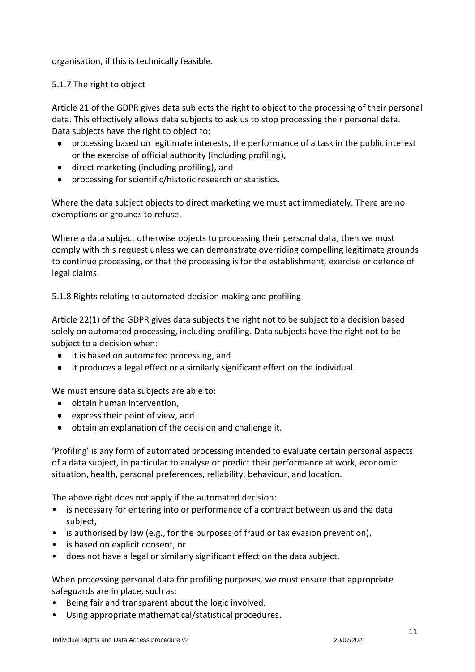organisation, if this is technically feasible.

### <span id="page-10-0"></span>5.1.7 The right to object

Article 21 of the GDPR gives data subjects the right to object to the processing of their personal data. This effectively allows data subjects to ask us to stop processing their personal data. Data subjects have the right to object to:

- processing based on legitimate interests, the performance of a task in the public interest or the exercise of official authority (including profiling),
- direct marketing (including profiling), and
- processing for scientific/historic research or statistics.

Where the data subject objects to direct marketing we must act immediately. There are no exemptions or grounds to refuse.

Where a data subject otherwise objects to processing their personal data, then we must comply with this request unless we can demonstrate overriding compelling legitimate grounds to continue processing, or that the processing is for the establishment, exercise or defence of legal claims.

### <span id="page-10-1"></span>5.1.8 Rights relating to automated decision making and profiling

Article 22(1) of the GDPR gives data subjects the right not to be subject to a decision based solely on automated processing, including profiling. Data subjects have the right not to be subject to a decision when:

- it is based on automated processing, and
- it produces a legal effect or a similarly significant effect on the individual.

We must ensure data subjects are able to:

- obtain human intervention,
- express their point of view, and
- obtain an explanation of the decision and challenge it.

'Profiling' is any form of automated processing intended to evaluate certain personal aspects of a data subject, in particular to analyse or predict their performance at work, economic situation, health, personal preferences, reliability, behaviour, and location.

The above right does not apply if the automated decision:

- is necessary for entering into or performance of a contract between us and the data subject,
- is authorised by law (e.g., for the purposes of fraud or tax evasion prevention),
- is based on explicit consent, or
- does not have a legal or similarly significant effect on the data subject.

When processing personal data for profiling purposes, we must ensure that appropriate safeguards are in place, such as:

- Being fair and transparent about the logic involved.
- Using appropriate mathematical/statistical procedures.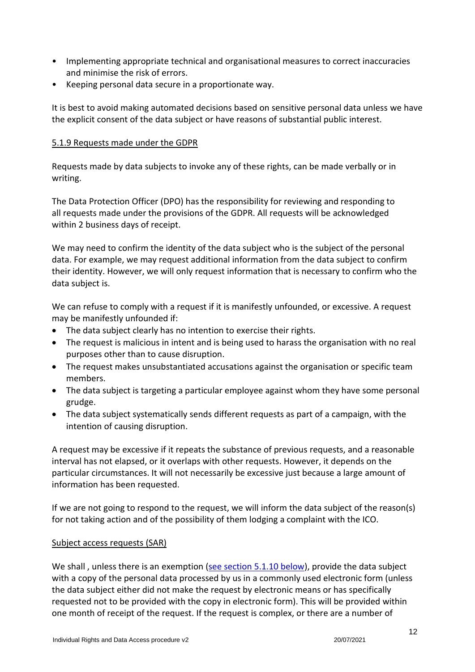- Implementing appropriate technical and organisational measures to correct inaccuracies and minimise the risk of errors.
- Keeping personal data secure in a proportionate way.

It is best to avoid making automated decisions based on sensitive personal data unless we have the explicit consent of the data subject or have reasons of substantial public interest.

## <span id="page-11-0"></span>5.1.9 Requests made under the GDPR

Requests made by data subjects to invoke any of these rights, can be made verbally or in writing.

The Data Protection Officer (DPO) has the responsibility for reviewing and responding to all requests made under the provisions of the GDPR. All requests will be acknowledged within 2 business days of receipt.

We may need to confirm the identity of the data subject who is the subject of the personal data. For example, we may request additional information from the data subject to confirm their identity. However, we will only request information that is necessary to confirm who the data subject is.

We can refuse to comply with a request if it is manifestly unfounded, or excessive. A request may be manifestly unfounded if:

- The data subject clearly has no intention to exercise their rights.
- The request is malicious in intent and is being used to harass the organisation with no real purposes other than to cause disruption.
- The request makes unsubstantiated accusations against the organisation or specific team members.
- The data subject is targeting a particular employee against whom they have some personal grudge.
- The data subject systematically sends different requests as part of a campaign, with the intention of causing disruption.

A request may be excessive if it repeats the substance of previous requests, and a reasonable interval has not elapsed, or it overlaps with other requests. However, it depends on the particular circumstances. It will not necessarily be excessive just because a large amount of information has been requested.

If we are not going to respond to the request, we will inform the data subject of the reason(s) for not taking action and of the possibility of them lodging a complaint with the ICO.

## Subject access requests (SAR)

We shall, unless there is an exemption [\(see section 5.1.10](#page-13-0) below), provide the data subject with a copy of the personal data processed by us in a commonly used electronic form (unless the data subject either did not make the request by electronic means or has specifically requested not to be provided with the copy in electronic form). This will be provided within one month of receipt of the request. If the request is complex, or there are a number of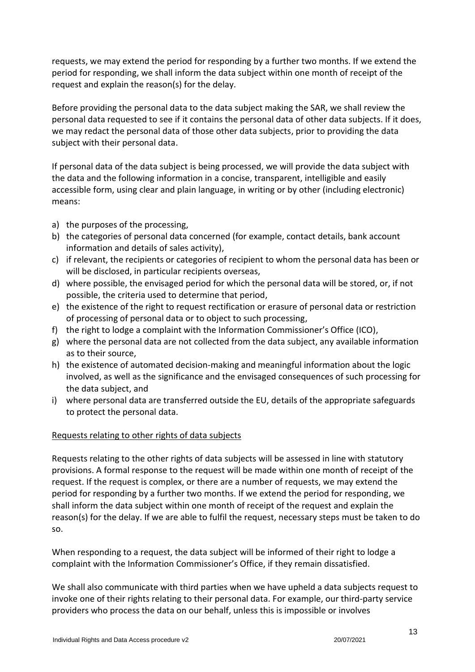requests, we may extend the period for responding by a further two months. If we extend the period for responding, we shall inform the data subject within one month of receipt of the request and explain the reason(s) for the delay.

Before providing the personal data to the data subject making the SAR, we shall review the personal data requested to see if it contains the personal data of other data subjects. If it does, we may redact the personal data of those other data subjects, prior to providing the data subject with their personal data.

If personal data of the data subject is being processed, we will provide the data subject with the data and the following information in a concise, transparent, intelligible and easily accessible form, using clear and plain language, in writing or by other (including electronic) means:

- a) the purposes of the processing,
- b) the categories of personal data concerned (for example, contact details, bank account information and details of sales activity),
- c) if relevant, the recipients or categories of recipient to whom the personal data has been or will be disclosed, in particular recipients overseas,
- d) where possible, the envisaged period for which the personal data will be stored, or, if not possible, the criteria used to determine that period,
- e) the existence of the right to request rectification or erasure of personal data or restriction of processing of personal data or to object to such processing,
- f) the right to lodge a complaint with the Information Commissioner's Office (ICO),
- g) where the personal data are not collected from the data subject, any available information as to their source,
- h) the existence of automated decision-making and meaningful information about the logic involved, as well as the significance and the envisaged consequences of such processing for the data subject, and
- i) where personal data are transferred outside the EU, details of the appropriate safeguards to protect the personal data.

## Requests relating to other rights of data subjects

Requests relating to the other rights of data subjects will be assessed in line with statutory provisions. A formal response to the request will be made within one month of receipt of the request. If the request is complex, or there are a number of requests, we may extend the period for responding by a further two months. If we extend the period for responding, we shall inform the data subject within one month of receipt of the request and explain the reason(s) for the delay. If we are able to fulfil the request, necessary steps must be taken to do so.

When responding to a request, the data subject will be informed of their right to lodge a complaint with the Information Commissioner's Office, if they remain dissatisfied.

We shall also communicate with third parties when we have upheld a data subjects request to invoke one of their rights relating to their personal data. For example, our third-party service providers who process the data on our behalf, unless this is impossible or involves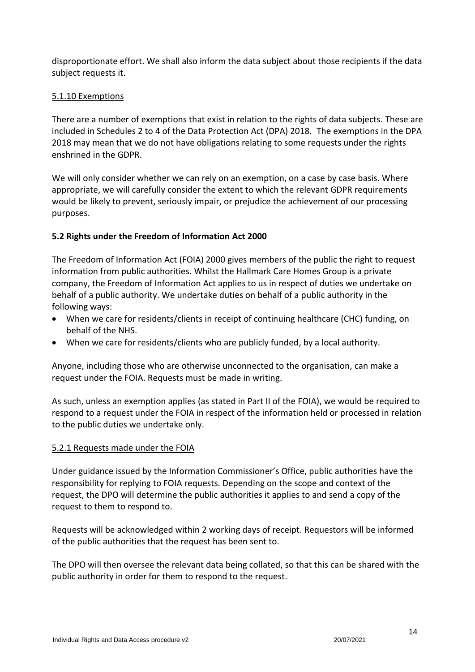disproportionate effort. We shall also inform the data subject about those recipients if the data subject requests it.

## <span id="page-13-0"></span>5.1.10 Exemptions

There are a number of exemptions that exist in relation to the rights of data subjects. These are included in Schedules 2 to 4 of the Data Protection Act (DPA) 2018. The exemptions in the DPA 2018 may mean that we do not have obligations relating to some requests under the rights enshrined in the GDPR.

We will only consider whether we can rely on an exemption, on a case by case basis. Where appropriate, we will carefully consider the extent to which the relevant GDPR requirements would be likely to prevent, seriously impair, or prejudice the achievement of our processing purposes.

## <span id="page-13-1"></span>**5.2 Rights under the Freedom of Information Act 2000**

The Freedom of Information Act (FOIA) 2000 gives members of the public the right to request information from public authorities. Whilst the Hallmark Care Homes Group is a private company, the Freedom of Information Act applies to us in respect of duties we undertake on behalf of a public authority. We undertake duties on behalf of a public authority in the following ways:

- When we care for residents/clients in receipt of continuing healthcare (CHC) funding, on behalf of the NHS.
- When we care for residents/clients who are publicly funded, by a local authority.

Anyone, including those who are otherwise unconnected to the organisation, can make a request under the FOIA. Requests must be made in writing.

As such, unless an exemption applies (as stated in Part II of the FOIA), we would be required to respond to a request under the FOIA in respect of the information held or processed in relation to the public duties we undertake only.

## <span id="page-13-2"></span>5.2.1 Requests made under the FOIA

Under guidance issued by the Information Commissioner's Office, public authorities have the responsibility for replying to FOIA requests. Depending on the scope and context of the request, the DPO will determine the public authorities it applies to and send a copy of the request to them to respond to.

Requests will be acknowledged within 2 working days of receipt. Requestors will be informed of the public authorities that the request has been sent to.

The DPO will then oversee the relevant data being collated, so that this can be shared with the public authority in order for them to respond to the request.